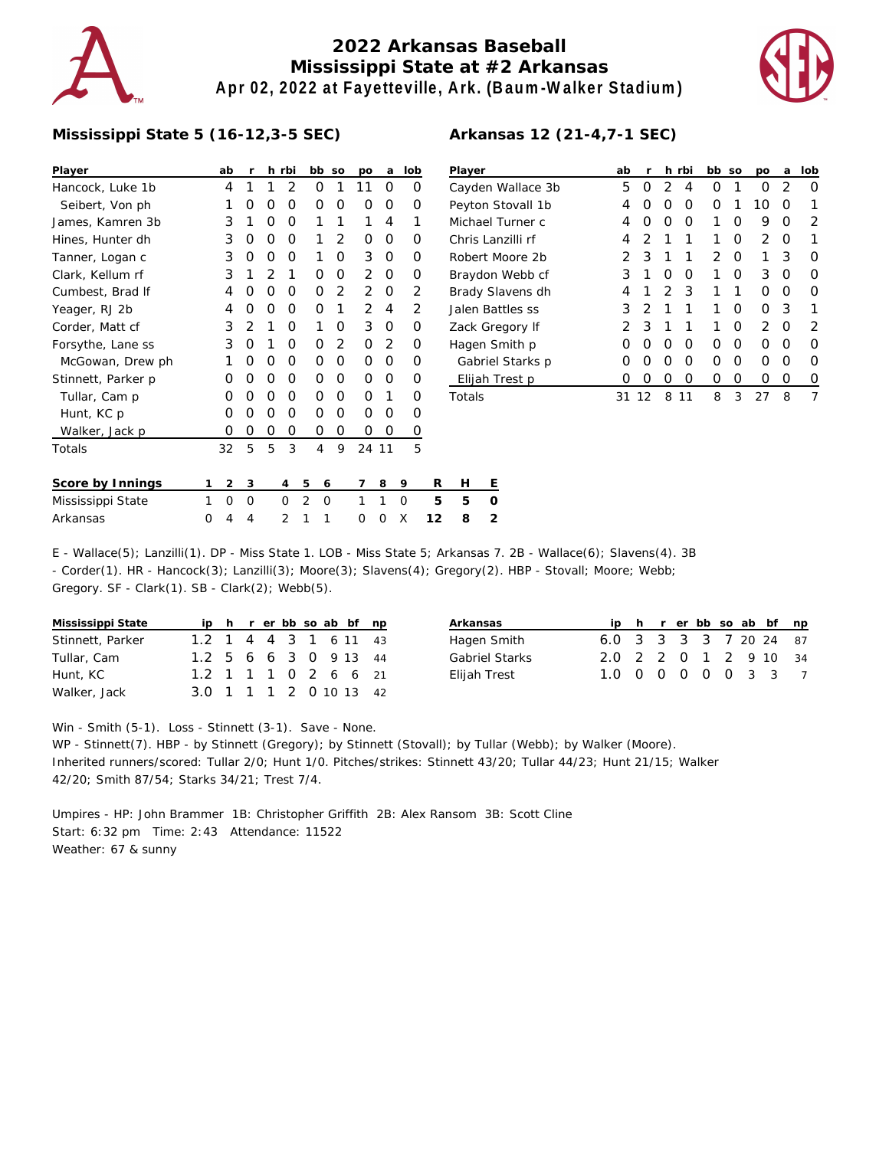

## **2022 Arkansas Baseball Mississippi State at #2 Arkansas Apr 02, 2022 at Fayetteville, Ark. (Baum-Walker Stadium)**



## **Mississippi State 5 (16-12,3-5 SEC)**

| Player             |   | ab | r |          | h rbi |                | bb so    |                | po             | a     | lob            |    | Player              |         |  |
|--------------------|---|----|---|----------|-------|----------------|----------|----------------|----------------|-------|----------------|----|---------------------|---------|--|
| Hancock, Luke 1b   |   | 4  | 1 | 1        | 2     |                | O        | 1              | 11             | O     | O              |    | Cayden <sup>'</sup> |         |  |
| Seibert, Von ph    |   | 1  | O | O        | 0     |                | Ο        | 0              | O              | O     | O              |    | Peyton S            |         |  |
| James, Kamren 3b   |   | 3  | 1 | O        | O     |                | 1        | 1              | 1              | 4     | 1              |    | Michael             |         |  |
| Hines, Hunter dh   |   | 3  | O | 0        | O     |                | 1        | 2              | O              | 0     | O              |    | Chris Lar           |         |  |
| Tanner, Logan c    |   | 3  | O | O        | O     |                | 1        | O              | 3              | O     | O              |    | Robert N            |         |  |
| Clark, Kellum rf   |   | 3  | 1 | 2        | 1     |                | O        | O              | 2              | O     | O              |    | Braydon             |         |  |
| Cumbest, Brad If   |   | 4  | O | $\Omega$ | 0     |                | O        | $\overline{2}$ | $\overline{2}$ | O     | $\overline{2}$ |    | <b>Brady SI</b>     |         |  |
| Yeager, RJ 2b      |   | 4  | O | O        | O     |                | O        | 1              | 2              | 4     | 2              |    | Jalen Ba            |         |  |
| Corder, Matt cf    |   | 3  | 2 | 1        | O     |                | 1        | O              | 3              | O     | O              |    | Zack Gre            |         |  |
| Forsythe, Lane ss  |   | 3  | O | 1        | Ο     |                | O        | 2              | O              | 2     | O              |    | Hagen S             |         |  |
| McGowan, Drew ph   |   | 1  | O | O        | O     |                | O        | O              | $\Omega$       | O     | O              |    | Gabriel             |         |  |
| Stinnett, Parker p |   | O  | O | O        | O     |                | O        | O              | O              | O     | O              |    | Elijah T            |         |  |
| Tullar, Cam p      |   | O  | O | O        | 0     |                | O        | O              | O              | 1     | O              |    | Totals              |         |  |
| Hunt, KC p         |   | O  | O | O        | O     |                | O        | O              | O              | O     | Ο              |    |                     |         |  |
| Walker, Jack p     |   | O  | O | O        | 0     |                | 0        | 0              | O              | 0     | 0              |    |                     |         |  |
| Totals             |   | 32 | 5 | 5        | 3     |                | 4        | 9              |                | 24 11 | 5              |    |                     |         |  |
| Score by Innings   | 1 | 2  | 3 |          | 4     | 5              | 6        |                | 7              | 8     | 9              | R  | н                   | Ε       |  |
| Mississippi State  | 1 | 0  | 0 |          | O     | $\overline{2}$ | $\Omega$ |                | 1              | 1     | $\Omega$       | 5  | 5                   | $\circ$ |  |
| Arkansas           | 0 | 4  | 4 |          | 2     | 1              | 1        |                | 0              | 0     | X              | 12 | 8                   | 2       |  |

| Player            | ab            | r             |   | h rbi | bb            | <b>SO</b> | pо | a | lob              |
|-------------------|---------------|---------------|---|-------|---------------|-----------|----|---|------------------|
| Cayden Wallace 3b | 5             | O             | 2 | 4     | Ω             | 1         | Ω  | 2 | Ω                |
| Peyton Stovall 1b | 4             | O             | Ω | O     | 0             | 1         | 10 | O |                  |
| Michael Turner c  | 4             | Ο             | O | O     | 1             | Ω         | 9  | Ω | 2                |
| Chris Lanzilli rf | 4             | 2             | 1 | 1     | 1             | Ω         | 2  | O | 1                |
| Robert Moore 2b   | $\mathcal{P}$ | 3             | 1 | 1     | $\mathcal{P}$ | Ω         | 1  | 3 | $\left( \right)$ |
| Braydon Webb cf   | 3             | 1             | Ο | O     | 1             | Ω         | 3  | O | O                |
| Brady Slavens dh  | 4             | 1             | 2 | 3     | 1             | 1         | Ω  | O | O                |
| Jalen Battles ss  | 3             | $\mathcal{D}$ | 1 | 1     | 1             | Ω         | O  | 3 |                  |
| Zack Gregory If   | 2             | 3             | 1 | 1     | 1             | Ω         | 2  | O | 2                |
| Hagen Smith p     | Ω             | O             | Ω | O     | Ω             | Ω         | Ω  | O | O                |
| Gabriel Starks p  | Ω             | O             | Ω | O     | Ω             | ∩         | Ω  | Ω | O                |
| Elijah Trest p    | 0             | Ω             | Ω | Ο     | Ω             | Ω         | Ω  | Ω | $\left( \right)$ |
| Totals            | 31            | 12            | 8 | 11    | 8             | 3         | 27 | 8 | 7                |

**Arkansas 12 (21-4,7-1 SEC)**

E - Wallace(5); Lanzilli(1). DP - Miss State 1. LOB - Miss State 5; Arkansas 7. 2B - Wallace(6); Slavens(4). 3B - Corder(1). HR - Hancock(3); Lanzilli(3); Moore(3); Slavens(4); Gregory(2). HBP - Stovall; Moore; Webb; Gregory. SF - Clark(1). SB - Clark(2); Webb(5).

| Mississippi State |  |  |  | ip h r er bb so ab bf np |  |
|-------------------|--|--|--|--------------------------|--|
| Stinnett, Parker  |  |  |  | 1.2 1 4 4 3 1 6 11 43    |  |
| Tullar, Cam       |  |  |  | 1.2 5 6 6 3 0 9 13 44    |  |
| Hunt, KC          |  |  |  | 1.2 1 1 1 0 2 6 6 21     |  |
| Walker, Jack      |  |  |  | 3.0 1 1 1 2 0 10 13 42   |  |

| Arkansas       |                        |  |  |  | ip h r er bb so ab bf np |
|----------------|------------------------|--|--|--|--------------------------|
| Hagen Smith    | 6.0 3 3 3 3 7 20 24 87 |  |  |  |                          |
| Gabriel Starks | 2.0 2 2 0 1 2 9 10 34  |  |  |  |                          |
| Elijah Trest   | 1.0 0 0 0 0 0 3 3 7    |  |  |  |                          |
|                |                        |  |  |  |                          |

Win - Smith (5-1). Loss - Stinnett (3-1). Save - None.

WP - Stinnett(7). HBP - by Stinnett (Gregory); by Stinnett (Stovall); by Tullar (Webb); by Walker (Moore). Inherited runners/scored: Tullar 2/0; Hunt 1/0. Pitches/strikes: Stinnett 43/20; Tullar 44/23; Hunt 21/15; Walker 42/20; Smith 87/54; Starks 34/21; Trest 7/4.

Umpires - HP: John Brammer 1B: Christopher Griffith 2B: Alex Ransom 3B: Scott Cline Start: 6:32 pm Time: 2:43 Attendance: 11522 Weather: 67 & sunny